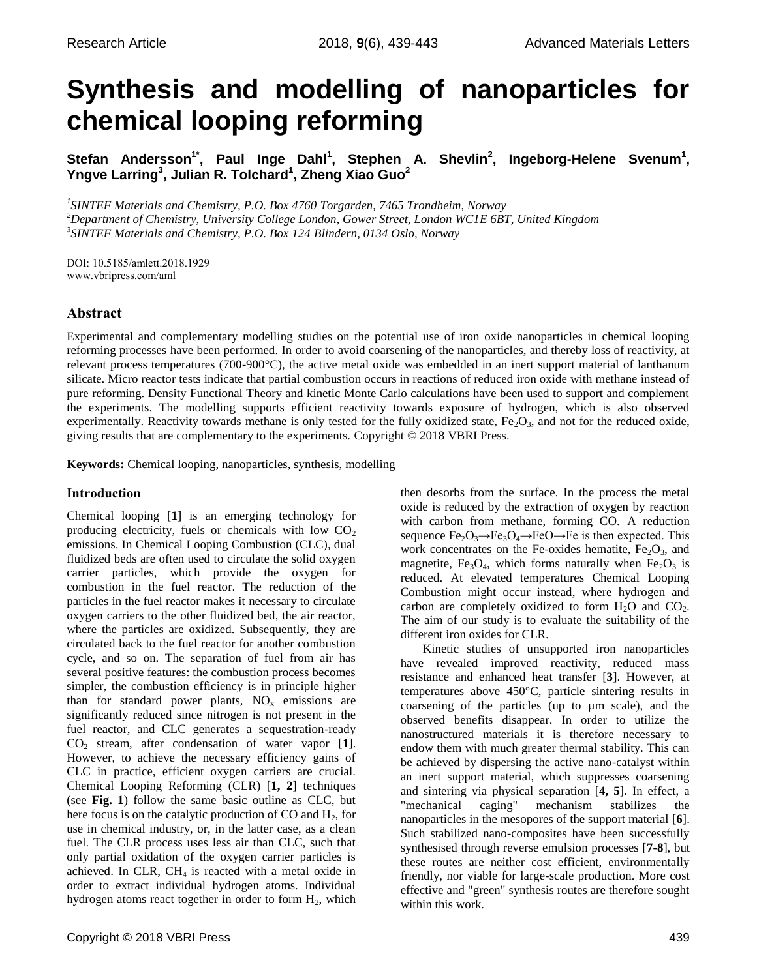# **Synthesis and modelling of nanoparticles for chemical looping reforming**

**Stefan Andersson1\* , Paul Inge Dahl<sup>1</sup> , Stephen A. Shevlin<sup>2</sup> , Ingeborg-Helene Svenum<sup>1</sup> , Yngve Larring<sup>3</sup> , Julian R. Tolchard<sup>1</sup> , Zheng Xiao Guo<sup>2</sup>**

*1 SINTEF Materials and Chemistry, P.O. Box 4760 Torgarden, 7465 Trondheim, Norway <sup>2</sup>Department of Chemistry, University College London, Gower Street, London WC1E 6BT, United Kingdom 3 SINTEF Materials and Chemistry, P.O. Box 124 Blindern, 0134 Oslo, Norway*

DOI: 10.5185/amlett.2018.1929 www.vbripress.com/aml

## **Abstract**

Experimental and complementary modelling studies on the potential use of iron oxide nanoparticles in chemical looping reforming processes have been performed. In order to avoid coarsening of the nanoparticles, and thereby loss of reactivity, at relevant process temperatures (700-900°C), the active metal oxide was embedded in an inert support material of lanthanum silicate. Micro reactor tests indicate that partial combustion occurs in reactions of reduced iron oxide with methane instead of pure reforming. Density Functional Theory and kinetic Monte Carlo calculations have been used to support and complement the experiments. The modelling supports efficient reactivity towards exposure of hydrogen, which is also observed experimentally. Reactivity towards methane is only tested for the fully oxidized state,  $Fe<sub>2</sub>O<sub>3</sub>$ , and not for the reduced oxide, giving results that are complementary to the experiments. Copyright © 2018 VBRI Press.

**Keywords:** Chemical looping, nanoparticles, synthesis, modelling

## **Introduction**

Chemical looping [**1**] is an emerging technology for producing electricity, fuels or chemicals with low  $CO<sub>2</sub>$ emissions. In Chemical Looping Combustion (CLC), dual fluidized beds are often used to circulate the solid oxygen carrier particles, which provide the oxygen for combustion in the fuel reactor. The reduction of the particles in the fuel reactor makes it necessary to circulate oxygen carriers to the other fluidized bed, the air reactor, where the particles are oxidized. Subsequently, they are circulated back to the fuel reactor for another combustion cycle, and so on. The separation of fuel from air has several positive features: the combustion process becomes simpler, the combustion efficiency is in principle higher than for standard power plants,  $NO_x$  emissions are significantly reduced since nitrogen is not present in the fuel reactor, and CLC generates a sequestration-ready CO<sup>2</sup> stream, after condensation of water vapor [**1**]. However, to achieve the necessary efficiency gains of CLC in practice, efficient oxygen carriers are crucial. Chemical Looping Reforming (CLR) [**1, 2**] techniques (see **Fig. 1**) follow the same basic outline as CLC, but here focus is on the catalytic production of  $CO$  and  $H<sub>2</sub>$ , for use in chemical industry, or, in the latter case, as a clean fuel. The CLR process uses less air than CLC, such that only partial oxidation of the oxygen carrier particles is achieved. In CLR,  $CH<sub>4</sub>$  is reacted with a metal oxide in order to extract individual hydrogen atoms. Individual hydrogen atoms react together in order to form  $H_2$ , which

be achieved by dispersing the active nano-catalyst within an inert support material, which suppresses coarsening

different iron oxides for CLR.

and sintering via physical separation [**4, 5**]. In effect, a "mechanical caging" mechanism stabilizes the nanoparticles in the mesopores of the support material [**6**]. Such stabilized nano-composites have been successfully synthesised through reverse emulsion processes [**7-8**], but these routes are neither cost efficient, environmentally friendly, nor viable for large-scale production. More cost effective and "green" synthesis routes are therefore sought within this work.

then desorbs from the surface. In the process the metal oxide is reduced by the extraction of oxygen by reaction with carbon from methane, forming CO. A reduction sequence  $Fe<sub>2</sub>O<sub>3</sub>\rightarrow Fe<sub>3</sub>O<sub>4</sub>\rightarrow FeO\rightarrow Fe$  is then expected. This work concentrates on the Fe-oxides hematite,  $Fe<sub>2</sub>O<sub>3</sub>$ , and magnetite, Fe<sub>3</sub>O<sub>4</sub>, which forms naturally when Fe<sub>2</sub>O<sub>3</sub> is reduced. At elevated temperatures Chemical Looping Combustion might occur instead, where hydrogen and carbon are completely oxidized to form  $H_2O$  and  $CO_2$ . The aim of our study is to evaluate the suitability of the

Kinetic studies of unsupported iron nanoparticles have revealed improved reactivity, reduced mass resistance and enhanced heat transfer [**3**]. However, at temperatures above 450°C, particle sintering results in coarsening of the particles (up to µm scale), and the observed benefits disappear. In order to utilize the nanostructured materials it is therefore necessary to endow them with much greater thermal stability. This can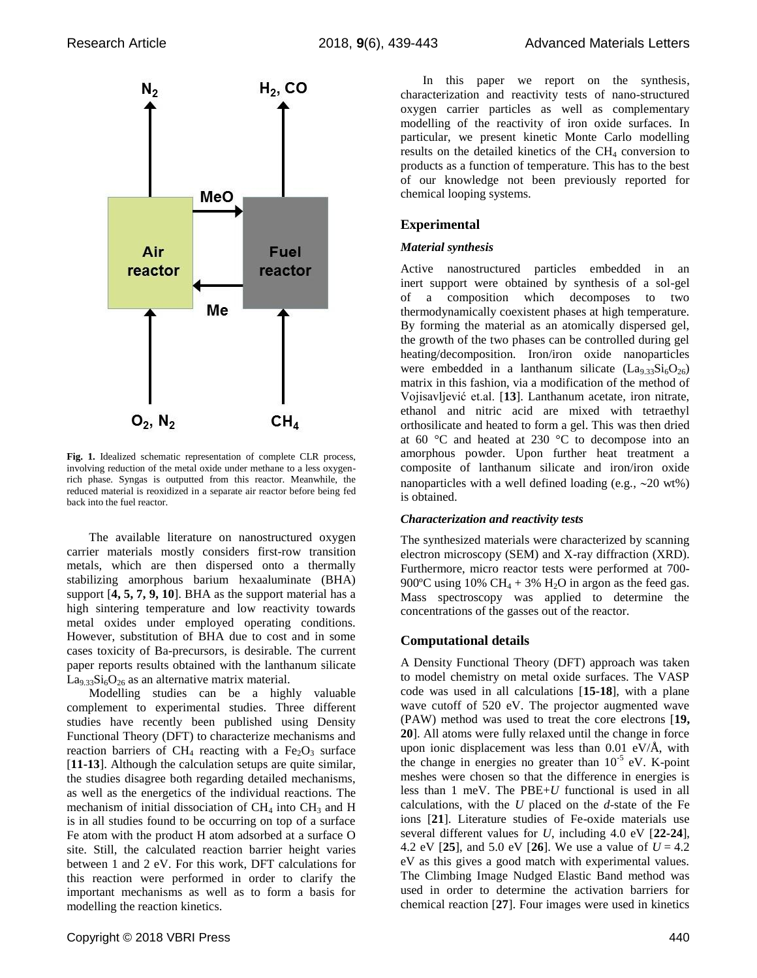

**Fig. 1.** Idealized schematic representation of complete CLR process, involving reduction of the metal oxide under methane to a less oxygenrich phase. Syngas is outputted from this reactor. Meanwhile, the reduced material is reoxidized in a separate air reactor before being fed back into the fuel reactor.

The available literature on nanostructured oxygen carrier materials mostly considers first-row transition metals, which are then dispersed onto a thermally stabilizing amorphous barium hexaaluminate (BHA) support [**4, 5, 7, 9, 10**]. BHA as the support material has a high sintering temperature and low reactivity towards metal oxides under employed operating conditions. However, substitution of BHA due to cost and in some cases toxicity of Ba-precursors, is desirable. The current paper reports results obtained with the lanthanum silicate  $La<sub>9.33</sub>Si<sub>6</sub>O<sub>26</sub>$  as an alternative matrix material.

Modelling studies can be a highly valuable complement to experimental studies. Three different studies have recently been published using Density Functional Theory (DFT) to characterize mechanisms and reaction barriers of CH<sub>4</sub> reacting with a Fe<sub>2</sub>O<sub>3</sub> surface [**11-13**]. Although the calculation setups are quite similar, the studies disagree both regarding detailed mechanisms, as well as the energetics of the individual reactions. The mechanism of initial dissociation of  $CH<sub>4</sub>$  into  $CH<sub>3</sub>$  and H is in all studies found to be occurring on top of a surface Fe atom with the product H atom adsorbed at a surface O site. Still, the calculated reaction barrier height varies between 1 and 2 eV. For this work, DFT calculations for this reaction were performed in order to clarify the important mechanisms as well as to form a basis for modelling the reaction kinetics.

In this paper we report on the synthesis, characterization and reactivity tests of nano-structured oxygen carrier particles as well as complementary modelling of the reactivity of iron oxide surfaces. In particular, we present kinetic Monte Carlo modelling results on the detailed kinetics of the  $CH<sub>4</sub>$  conversion to products as a function of temperature. This has to the best of our knowledge not been previously reported for chemical looping systems.

## **Experimental**

#### *Material synthesis*

Active nanostructured particles embedded in an inert support were obtained by synthesis of a sol-gel of a composition which decomposes to two thermodynamically coexistent phases at high temperature. By forming the material as an atomically dispersed gel, the growth of the two phases can be controlled during gel heating/decomposition. Iron/iron oxide nanoparticles were embedded in a lanthanum silicate  $(La_{9.33}Si_6O_{26})$ matrix in this fashion, via a modification of the method of Vojisavljević et.al. [**13**]. Lanthanum acetate, iron nitrate, ethanol and nitric acid are mixed with tetraethyl orthosilicate and heated to form a gel. This was then dried at 60 °C and heated at 230 °C to decompose into an amorphous powder. Upon further heat treatment a composite of lanthanum silicate and iron/iron oxide nanoparticles with a well defined loading (e.g.,  $\sim$  20 wt%) is obtained.

#### *Characterization and reactivity tests*

The synthesized materials were characterized by scanning electron microscopy (SEM) and X-ray diffraction (XRD). Furthermore, micro reactor tests were performed at 700- 900°C using 10% CH<sub>4</sub> + 3% H<sub>2</sub>O in argon as the feed gas. Mass spectroscopy was applied to determine the concentrations of the gasses out of the reactor.

#### **Computational details**

A Density Functional Theory (DFT) approach was taken to model chemistry on metal oxide surfaces. The VASP code was used in all calculations [**15-18**], with a plane wave cutoff of 520 eV. The projector augmented wave (PAW) method was used to treat the core electrons [**19, 20**]. All atoms were fully relaxed until the change in force upon ionic displacement was less than  $0.01$  eV/Å, with the change in energies no greater than  $10^{-5}$  eV. K-point meshes were chosen so that the difference in energies is less than 1 meV. The PBE+*U* functional is used in all calculations, with the *U* placed on the *d*-state of the Fe ions [**21**]. Literature studies of Fe-oxide materials use several different values for *U*, including 4.0 eV [**22-24**], 4.2 eV  $[25]$ , and 5.0 eV  $[26]$ . We use a value of  $U = 4.2$ eV as this gives a good match with experimental values. The Climbing Image Nudged Elastic Band method was used in order to determine the activation barriers for chemical reaction [**27**]. Four images were used in kinetics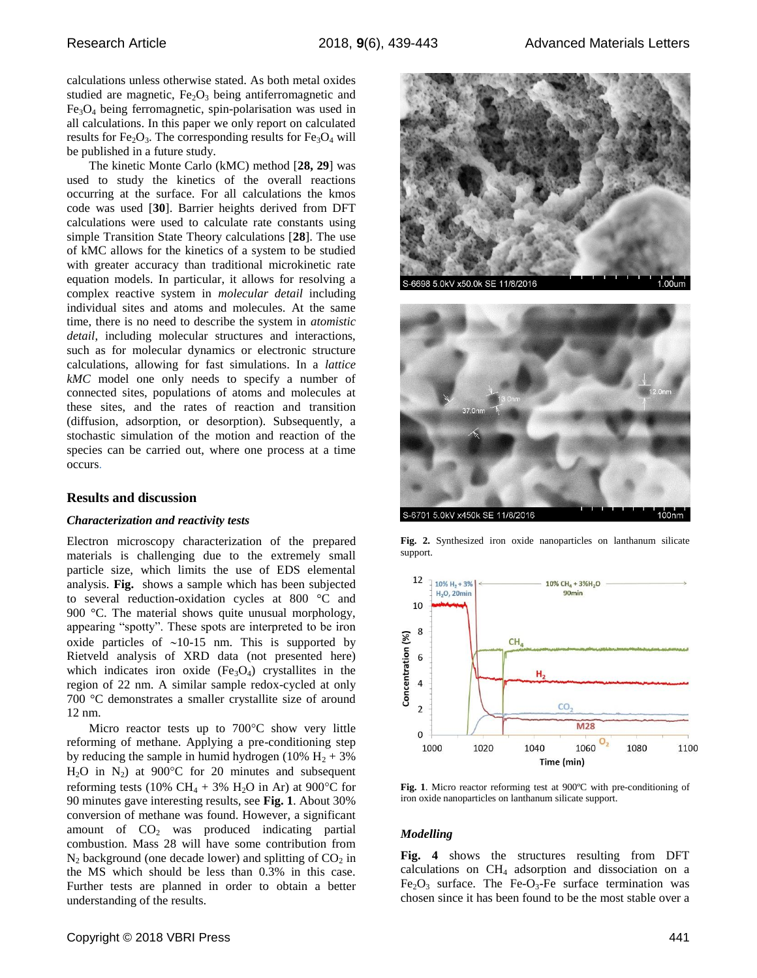calculations unless otherwise stated. As both metal oxides studied are magnetic,  $Fe<sub>2</sub>O<sub>3</sub>$  being antiferromagnetic and Fe3O<sup>4</sup> being ferromagnetic, spin-polarisation was used in all calculations. In this paper we only report on calculated results for  $Fe<sub>2</sub>O<sub>3</sub>$ . The corresponding results for  $Fe<sub>3</sub>O<sub>4</sub>$  will be published in a future study.

The kinetic Monte Carlo (kMC) method [**28, 29**] was used to study the kinetics of the overall reactions occurring at the surface. For all calculations the kmos code was used [**30**]. Barrier heights derived from DFT calculations were used to calculate rate constants using simple Transition State Theory calculations [**28**]. The use of kMC allows for the kinetics of a system to be studied with greater accuracy than traditional microkinetic rate equation models. In particular, it allows for resolving a complex reactive system in *molecular detail* including individual sites and atoms and molecules. At the same time, there is no need to describe the system in *atomistic detail*, including molecular structures and interactions, such as for molecular dynamics or electronic structure calculations, allowing for fast simulations. In a *lattice kMC* model one only needs to specify a number of connected sites, populations of atoms and molecules at these sites, and the rates of reaction and transition (diffusion, adsorption, or desorption). Subsequently, a stochastic simulation of the motion and reaction of the species can be carried out, where one process at a time occurs.

#### **Results and discussion**

#### *Characterization and reactivity tests*

Electron microscopy characterization of the prepared materials is challenging due to the extremely small particle size, which limits the use of EDS elemental analysis. **[Fig.](#page-2-0)** shows a sample which has been subjected to several reduction-oxidation cycles at 800 °C and 900 °C. The material shows quite unusual morphology, appearing "spotty". These spots are interpreted to be iron oxide particles of  $\sim$ 10-15 nm. This is supported by Rietveld analysis of XRD data (not presented here) which indicates iron oxide  $(Fe<sub>3</sub>O<sub>4</sub>)$  crystallites in the region of 22 nm. A similar sample redox-cycled at only 700 °C demonstrates a smaller crystallite size of around 12 nm.

Micro reactor tests up to  $700^{\circ}$ C show very little reforming of methane. Applying a pre-conditioning step by reducing the sample in humid hydrogen (10%  $H_2 + 3%$  $H_2O$  in  $N_2$ ) at 900°C for 20 minutes and subsequent reforming tests (10% CH<sub>4</sub> + 3% H<sub>2</sub>O in Ar) at 900°C for 90 minutes gave interesting results, see **[Fig.](#page-2-1) 1**. About 30% conversion of methane was found. However, a significant amount of  $CO<sub>2</sub>$  was produced indicating partial combustion. Mass 28 will have some contribution from  $N_2$  background (one decade lower) and splitting of  $CO_2$  in the MS which should be less than 0.3% in this case. Further tests are planned in order to obtain a better understanding of the results.



S-6701 5.0kV x450k SE 11/8/2016

<span id="page-2-0"></span>**Fig. 2.** Synthesized iron oxide nanoparticles on lanthanum silicate support.



<span id="page-2-1"></span>**Fig. 1**. Micro reactor reforming test at 900ºC with pre-conditioning of iron oxide nanoparticles on lanthanum silicate support.

#### *Modelling*

**Fig. 4** shows the structures resulting from DFT calculations on  $CH<sub>4</sub>$  adsorption and dissociation on a  $Fe<sub>2</sub>O<sub>3</sub>$  surface. The Fe-O<sub>3</sub>-Fe surface termination was chosen since it has been found to be the most stable over a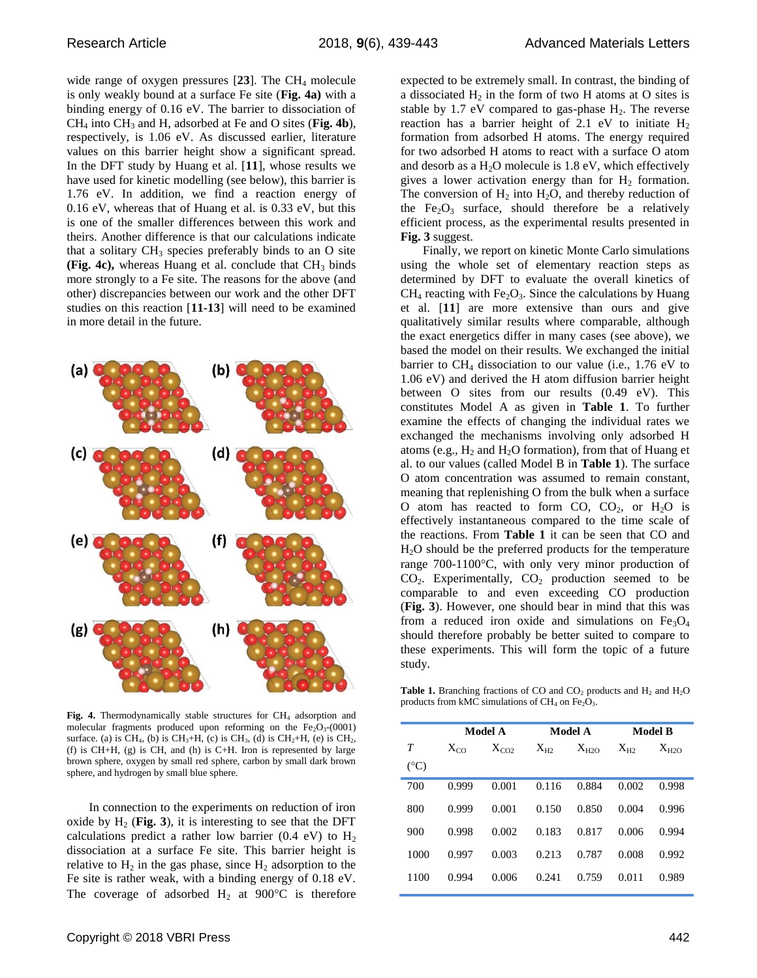wide range of oxygen pressures  $[23]$ . The CH<sub>4</sub> molecule is only weakly bound at a surface Fe site (**Fig. 4a)** with a binding energy of 0.16 eV. The barrier to dissociation of CH<sup>4</sup> into CH<sup>3</sup> and H, adsorbed at Fe and O sites (**Fig. 4b**), respectively, is 1.06 eV. As discussed earlier, literature values on this barrier height show a significant spread. In the DFT study by Huang et al. [**11**], whose results we have used for kinetic modelling (see below), this barrier is 1.76 eV. In addition, we find a reaction energy of 0.16 eV, whereas that of Huang et al. is 0.33 eV, but this is one of the smaller differences between this work and theirs. Another difference is that our calculations indicate that a solitary  $CH_3$  species preferably binds to an O site **(Fig. 4c),** whereas Huang et al. conclude that  $CH<sub>3</sub>$  binds more strongly to a Fe site. The reasons for the above (and other) discrepancies between our work and the other DFT studies on this reaction [**11-13**] will need to be examined in more detail in the future.



Fig. 4. Thermodynamically stable structures for CH<sub>4</sub> adsorption and molecular fragments produced upon reforming on the  $Fe<sub>2</sub>O<sub>3</sub>-(0001)$ surface. (a) is CH<sub>4</sub>, (b) is CH<sub>3</sub>+H, (c) is CH<sub>3</sub>, (d) is CH<sub>2</sub>+H, (e) is CH<sub>2</sub>, (f) is  $CH+H$ , (g) is CH, and (h) is C+H. Iron is represented by large brown sphere, oxygen by small red sphere, carbon by small dark brown sphere, and hydrogen by small blue sphere.

In connection to the experiments on reduction of iron oxide by  $H_2$  (Fig. 3), it is interesting to see that the DFT calculations predict a rather low barrier (0.4 eV) to  $H_2$ dissociation at a surface Fe site. This barrier height is relative to  $H_2$  in the gas phase, since  $H_2$  adsorption to the Fe site is rather weak, with a binding energy of 0.18 eV. The coverage of adsorbed  $H_2$  at 900 $^{\circ}$ C is therefore

expected to be extremely small. In contrast, the binding of a dissociated  $H_2$  in the form of two H atoms at O sites is stable by  $1.7$  eV compared to gas-phase  $H_2$ . The reverse reaction has a barrier height of 2.1 eV to initiate  $H_2$ formation from adsorbed H atoms. The energy required for two adsorbed H atoms to react with a surface O atom and desorb as a  $H<sub>2</sub>O$  molecule is 1.8 eV, which effectively gives a lower activation energy than for  $H_2$  formation. The conversion of  $H_2$  into  $H_2O$ , and thereby reduction of the  $Fe<sub>2</sub>O<sub>3</sub>$  surface, should therefore be a relatively efficient process, as the experimental results presented in **Fig. 3** suggest.

Finally, we report on kinetic Monte Carlo simulations using the whole set of elementary reaction steps as determined by DFT to evaluate the overall kinetics of  $CH_4$  reacting with Fe<sub>2</sub>O<sub>3</sub>. Since the calculations by Huang et al. [**11**] are more extensive than ours and give qualitatively similar results where comparable, although the exact energetics differ in many cases (see above), we based the model on their results. We exchanged the initial barrier to  $CH<sub>4</sub>$  dissociation to our value (i.e., 1.76 eV to 1.06 eV) and derived the H atom diffusion barrier height between O sites from our results (0.49 eV). This constitutes Model A as given in **Table 1**. To further examine the effects of changing the individual rates we exchanged the mechanisms involving only adsorbed H atoms (e.g.,  $H_2$  and  $H_2O$  formation), from that of Huang et al. to our values (called Model B in **Table 1**). The surface O atom concentration was assumed to remain constant, meaning that replenishing O from the bulk when a surface O atom has reacted to form CO,  $CO<sub>2</sub>$ , or  $H<sub>2</sub>O$  is effectively instantaneous compared to the time scale of the reactions. From **Table 1** it can be seen that CO and H2O should be the preferred products for the temperature range  $700-1100$ °C, with only very minor production of  $CO<sub>2</sub>$ . Experimentally,  $CO<sub>2</sub>$  production seemed to be comparable to and even exceeding CO production (**Fig. 3**). However, one should bear in mind that this was from a reduced iron oxide and simulations on  $Fe<sub>3</sub>O<sub>4</sub>$ should therefore probably be better suited to compare to these experiments. This will form the topic of a future study.

**Table 1.** Branching fractions of CO and  $CO_2$  products and  $H_2$  and  $H_2O$ products from kMC simulations of  $CH_4$  on  $Fe<sub>2</sub>O<sub>3</sub>$ .

|               | Model A  |           | Model A  |           | <b>Model B</b> |           |
|---------------|----------|-----------|----------|-----------|----------------|-----------|
| T             | $X_{CO}$ | $X_{CO2}$ | $X_{H2}$ | $X_{H2O}$ | $X_{H2}$       | $X_{H2O}$ |
| $(^{\circ}C)$ |          |           |          |           |                |           |
| 700           | 0.999    | 0.001     | 0.116    | 0.884     | 0.002          | 0.998     |
| 800           | 0.999    | 0.001     | 0.150    | 0.850     | 0.004          | 0.996     |
| 900           | 0.998    | 0.002     | 0.183    | 0.817     | 0.006          | 0.994     |
| 1000          | 0.997    | 0.003     | 0.213    | 0.787     | 0.008          | 0.992     |
| 1100          | 0.994    | 0.006     | 0.241    | 0.759     | 0.011          | 0.989     |